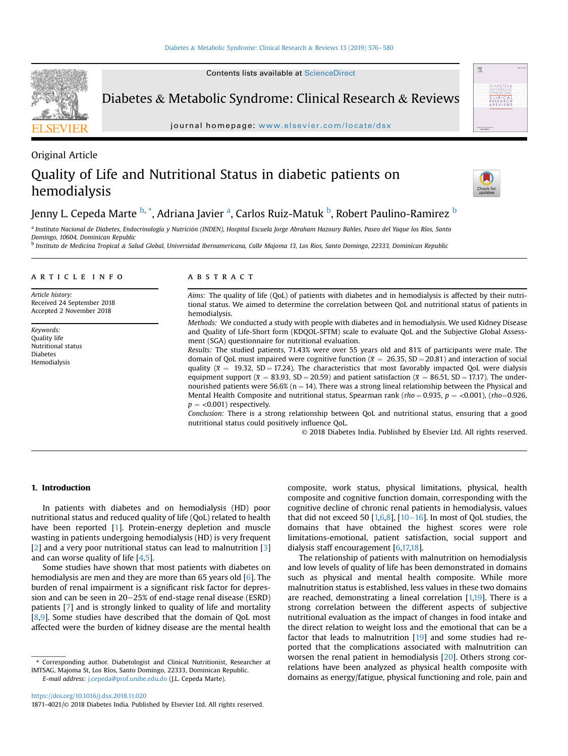Contents lists available at [ScienceDirect](www.sciencedirect.com/science/journal/18714021)



Diabetes & Metabolic Syndrome: Clinical Research & Reviews

journal homepage: <www.elsevier.com/locate/dsx>

# Original Article Quality of Life and Nutritional Status in diabetic patients on hemodialysis



壓



Jenny L. Cepeda Marte <sup>b, \*</sup>, Adriana Javier <sup>a</sup>, Carlos Ruiz-Matuk <sup>b</sup>, Robert Paulino-Ramirez <sup>b</sup>

a Instituto Nacional de Diabetes, Endocrinología y Nutrición (INDEN), Hospital Escuela Jorge Abraham Hazoury Bahles, Paseo del Yaque los Ríos, Santo Domingo, 10604, Dominican Republic

<sup>b</sup> Instituto de Medicina Tropical & Salud Global, Universidad Iberoamericana, Calle Majoma 13, Los Rios, Santo Domingo, 22333, Dominican Republic

#### article info

Article history: Received 24 September 2018 Accepted 2 November 2018

Keywords: Quality life Nutritional status Diabetes Hemodialysis

### **ABSTRACT**

Aims: The quality of life (QoL) of patients with diabetes and in hemodialysis is affected by their nutritional status. We aimed to determine the correlation between QoL and nutritional status of patients in hemodialysis.

Methods: We conducted a study with people with diabetes and in hemodialysis. We used Kidney Disease and Quality of Life-Short form (KDQOL-SFTM) scale to evaluate QoL and the Subjective Global Assessment (SGA) questionnaire for nutritional evaluation.

Results: The studied patients, 71.43% were over 55 years old and 81% of participants were male. The domain of QoL must impaired were cognitive function ( $\bar{x} = 26.35$ , SD = 20.81) and interaction of social quality ( $\bar{x}$  = 19.32, SD = 17.24). The characteristics that most favorably impacted QoL were dialysis equipment support ( $\bar{x} = 83.93$ , SD = 20.59) and patient satisfaction ( $\bar{x} = 86.51$ , SD = 17.17). The undernourished patients were 56.6% ( $n = 14$ ). There was a strong lineal relationship between the Physical and Mental Health Composite and nutritional status, Spearman rank (rho = 0.935, p = <0.001), (rho=0.926,  $p = <0.001$ ) respectively.

Conclusion: There is a strong relationship between QoL and nutritional status, ensuring that a good nutritional status could positively influence QoL.

© 2018 Diabetes India. Published by Elsevier Ltd. All rights reserved.

# 1. Introduction

In patients with diabetes and on hemodialysis (HD) poor nutritional status and reduced quality of life (QoL) related to health have been reported [\[1\]](#page-4-0). Protein-energy depletion and muscle wasting in patients undergoing hemodialysis (HD) is very frequent [[2](#page-4-0)] and a very poor nutritional status can lead to malnutrition [\[3\]](#page-4-0) and can worse quality of life [[4,5](#page-4-0)].

Some studies have shown that most patients with diabetes on hemodialysis are men and they are more than 65 years old [\[6](#page-4-0)]. The burden of renal impairment is a significant risk factor for depression and can be seen in  $20-25\%$  of end-stage renal disease (ESRD) patients [\[7](#page-4-0)] and is strongly linked to quality of life and mortality [[8,9](#page-4-0)]. Some studies have described that the domain of QoL most affected were the burden of kidney disease are the mental health

\* Corresponding author. Diabetologist and Clinical Nutritionist, Researcher at IMTSAG, Majoma St, Los Ríos, Santo Domingo, 22333, Dominican Republic. E-mail address: [j.cepeda@prof.unibe.edu.do](mailto:j.cepeda@prof.unibe.edu.do) (J.L. Cepeda Marte).

<https://doi.org/10.1016/j.dsx.2018.11.020> 1871-4021/© 2018 Diabetes India. Published by Elsevier Ltd. All rights reserved. composite and cognitive function domain, corresponding with the cognitive decline of chronic renal patients in hemodialysis, values that did not exceed 50  $[1,6,8]$  $[1,6,8]$ ,  $[10-16]$  $[10-16]$  $[10-16]$ . In most of QoL studies, the domains that have obtained the highest scores were role limitations-emotional, patient satisfaction, social support and dialysis staff encouragement [\[6,17,18](#page-4-0)].

composite, work status, physical limitations, physical, health

The relationship of patients with malnutrition on hemodialysis and low levels of quality of life has been demonstrated in domains such as physical and mental health composite. While more malnutrition status is established, less values in these two domains are reached, demonstrating a lineal correlation [\[1,19\]](#page-4-0). There is a strong correlation between the different aspects of subjective nutritional evaluation as the impact of changes in food intake and the direct relation to weight loss and the emotional that can be a factor that leads to malnutrition [[19\]](#page-4-0) and some studies had reported that the complications associated with malnutrition can worsen the renal patient in hemodialysis [[20](#page-4-0)]. Others strong correlations have been analyzed as physical health composite with domains as energy/fatigue, physical functioning and role, pain and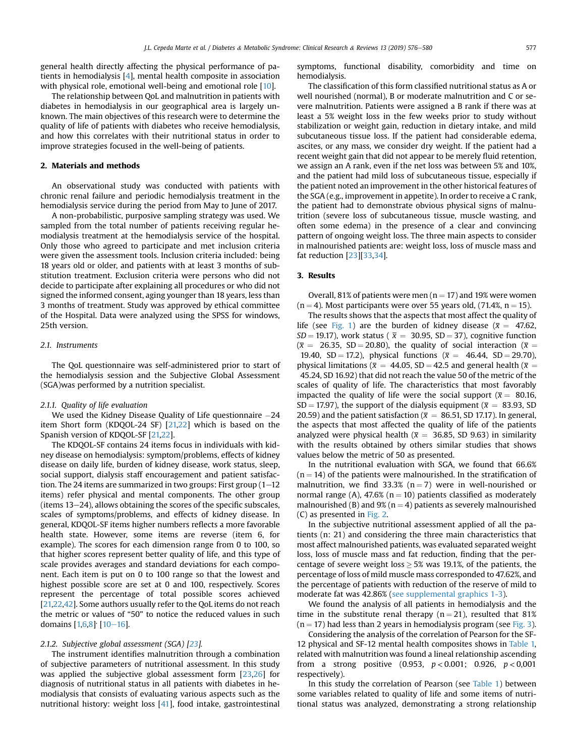general health directly affecting the physical performance of patients in hemodialysis [[4\]](#page-4-0), mental health composite in association with physical role, emotional well-being and emotional role [[10\]](#page-4-0).

The relationship between QoL and malnutrition in patients with diabetes in hemodialysis in our geographical area is largely unknown. The main objectives of this research were to determine the quality of life of patients with diabetes who receive hemodialysis, and how this correlates with their nutritional status in order to improve strategies focused in the well-being of patients.

# 2. Materials and methods

An observational study was conducted with patients with chronic renal failure and periodic hemodialysis treatment in the hemodialysis service during the period from May to June of 2017.

A non-probabilistic, purposive sampling strategy was used. We sampled from the total number of patients receiving regular hemodialysis treatment at the hemodialysis service of the hospital. Only those who agreed to participate and met inclusion criteria were given the assessment tools. Inclusion criteria included: being 18 years old or older, and patients with at least 3 months of substitution treatment. Exclusion criteria were persons who did not decide to participate after explaining all procedures or who did not signed the informed consent, aging younger than 18 years, less than 3 months of treatment. Study was approved by ethical committee of the Hospital. Data were analyzed using the SPSS for windows, 25th version.

# 2.1. Instruments

The QoL questionnaire was self-administered prior to start of the hemodialysis session and the Subjective Global Assessment (SGA)was performed by a nutrition specialist.

#### 2.1.1. Quality of life evaluation

We used the Kidney Disease Quality of Life questionnaire  $-24$ item Short form (KDQOL-24 SF) [[21,22](#page-4-0)] which is based on the Spanish version of KDQOL-SF [[21,22\]](#page-4-0).

The KDQOL-SF contains 24 items focus in individuals with kidney disease on hemodialysis: symptom/problems, effects of kidney disease on daily life, burden of kidney disease, work status, sleep, social support, dialysis staff encouragement and patient satisfaction. The 24 items are summarized in two groups: First group  $(1-12)$ items) refer physical and mental components. The other group (items  $13-24$ ), allows obtaining the scores of the specific subscales, scales of symptoms/problems, and effects of kidney disease. In general, KDQOL-SF items higher numbers reflects a more favorable health state. However, some items are reverse (item 6, for example). The scores for each dimension range from 0 to 100, so that higher scores represent better quality of life, and this type of scale provides averages and standard deviations for each component. Each item is put on 0 to 100 range so that the lowest and highest possible score are set at 0 and 100, respectively. Scores represent the percentage of total possible scores achieved [\[21,22,42\]](#page-4-0). Some authors usually refer to the QoL items do not reach the metric or values of "50" to notice the reduced values in such domains  $[1,6,8]$  $[1,6,8]$  $[1,6,8]$  [\[10](#page-4-0)-[16](#page-4-0)].

#### 2.1.2. Subjective global assessment (SGA) [[23\]](#page-4-0).

The instrument identifies malnutrition through a combination of subjective parameters of nutritional assessment. In this study was applied the subjective global assessment form [[23](#page-4-0),[26](#page-4-0)] for diagnosis of nutritional status in all patients with diabetes in hemodialysis that consists of evaluating various aspects such as the nutritional history: weight loss [[41\]](#page-4-0), food intake, gastrointestinal symptoms, functional disability, comorbidity and time on hemodialysis.

The classification of this form classified nutritional status as A or well nourished (normal), B or moderate malnutrition and C or severe malnutrition. Patients were assigned a B rank if there was at least a 5% weight loss in the few weeks prior to study without stabilization or weight gain, reduction in dietary intake, and mild subcutaneous tissue loss. If the patient had considerable edema, ascites, or any mass, we consider dry weight. If the patient had a recent weight gain that did not appear to be merely fluid retention, we assign an A rank, even if the net loss was between 5% and 10%, and the patient had mild loss of subcutaneous tissue, especially if the patient noted an improvement in the other historical features of the SGA (e.g., improvement in appetite). In order to receive a C rank, the patient had to demonstrate obvious physical signs of malnutrition (severe loss of subcutaneous tissue, muscle wasting, and often some edema) in the presence of a clear and convincing pattern of ongoing weight loss. The three main aspects to consider in malnourished patients are: weight loss, loss of muscle mass and fat reduction [[23](#page-4-0)][\[33,34\]](#page-4-0).

# 3. Results

Overall, 81% of patients were men ( $n = 17$ ) and 19% were women  $(n = 4)$ . Most participants were over 55 years old, (71.4%, n = 15).

The results shows that the aspects that most affect the quality of life (see [Fig. 1\)](#page-2-0) are the burden of kidney disease ( $\bar{x} = 47.62$ ,  $SD = 19.17$ ), work status ( $\bar{x} = 30.95$ ,  $SD = 37$ ), cognitive function ( $\bar{x}$  = 26.35, SD = 20.80), the quality of social interaction ( $\bar{x}$  = 19.40, SD = 17.2), physical functions ( $\bar{x} = 46.44$ , SD = 29.70), physical limitations ( $\bar{x} = 44.05$ , SD = 42.5 and general health ( $\bar{x} =$ 45.24, SD 16.92) that did not reach the value 50 of the metric of the scales of quality of life. The characteristics that most favorably impacted the quality of life were the social support ( $\bar{x} = 80.16$ , SD = 17.97), the support of the dialysis equipment ( $\bar{x}$  = 83.93, SD 20.59) and the patient satisfaction ( $\bar{x}$  = 86.51, SD 17.17). In general, the aspects that most affected the quality of life of the patients analyzed were physical health ( $\bar{x}$  = 36.85, SD 9.63) in similarity with the results obtained by others similar studies that shows values below the metric of 50 as presented.

In the nutritional evaluation with SGA, we found that 66.6%  $(n = 14)$  of the patients were malnourished. In the stratification of malnutrition, we find 33.3% ( $n = 7$ ) were in well-nourished or normal range (A), 47.6% ( $n = 10$ ) patients classified as moderately malnourished (B) and  $9\%$  (n = 4) patients as severely malnourished (C) as presented in [Fig. 2](#page-2-0).

In the subjective nutritional assessment applied of all the patients (n: 21) and considering the three main characteristics that most affect malnourished patients, was evaluated separated weight loss, loss of muscle mass and fat reduction, finding that the percentage of severe weight loss  $> 5\%$  was 19.1%, of the patients, the percentage of loss of mild muscle mass corresponded to 47.62%, and the percentage of patients with reduction of the reserve of mild to moderate fat was 42.86% (see supplemental graphics 1-3).

We found the analysis of all patients in hemodialysis and the time in the substitute renal therapy ( $n = 21$ ), resulted that 81%  $(n = 17)$  had less than 2 years in hemodialysis program (see [Fig. 3\)](#page-3-0).

Considering the analysis of the correlation of Pearson for the SF-12 physical and SF-12 mental health composites shows in [Table 1,](#page-3-0) related with malnutrition was found a lineal relationship ascending from a strong positive  $(0.953, p < 0.001; 0.926, p < 0.001)$ respectively).

In this study the correlation of Pearson (see [Table 1\)](#page-3-0) between some variables related to quality of life and some items of nutritional status was analyzed, demonstrating a strong relationship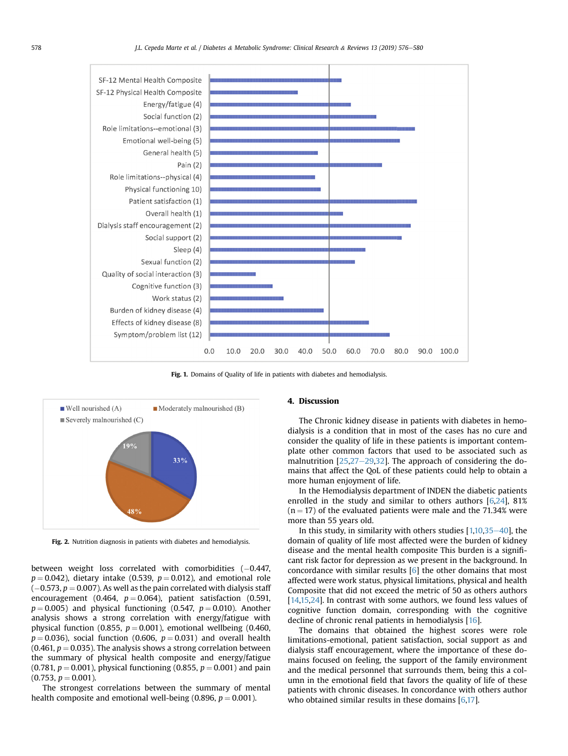<span id="page-2-0"></span>

Fig. 1. Domains of Quality of life in patients with diabetes and hemodialysis.



Fig. 2. Nutrition diagnosis in patients with diabetes and hemodialysis.

between weight loss correlated with comorbidities  $(-0.447,$  $p = 0.042$ ), dietary intake (0.539,  $p = 0.012$ ), and emotional role  $(-0.573, p = 0.007)$ . As well as the pain correlated with dialysis staff encouragement (0.464,  $p = 0.064$ ), patient satisfaction (0.591,  $p = 0.005$ ) and physical functioning (0.547,  $p = 0.010$ ). Another analysis shows a strong correlation with energy/fatigue with physical function (0.855,  $p = 0.001$ ), emotional wellbeing (0.460,  $p = 0.036$ ), social function (0.606,  $p = 0.031$ ) and overall health (0.461,  $p = 0.035$ ). The analysis shows a strong correlation between the summary of physical health composite and energy/fatigue (0.781,  $p = 0.001$ ), physical functioning (0.855,  $p = 0.001$ ) and pain  $(0.753, p = 0.001).$ 

The strongest correlations between the summary of mental health composite and emotional well-being (0.896,  $p = 0.001$ ).

# 4. Discussion

The Chronic kidney disease in patients with diabetes in hemodialysis is a condition that in most of the cases has no cure and consider the quality of life in these patients is important contemplate other common factors that used to be associated such as malnutrition  $[25,27-29,32]$  $[25,27-29,32]$  $[25,27-29,32]$  $[25,27-29,32]$  $[25,27-29,32]$ . The approach of considering the domains that affect the QoL of these patients could help to obtain a more human enjoyment of life.

In the Hemodialysis department of INDEN the diabetic patients enrolled in the study and similar to others authors [\[6,24](#page-4-0)], 81%  $(n = 17)$  of the evaluated patients were male and the 71.34% were more than 55 years old.

In this study, in similarity with others studies  $[1,10,35-40]$  $[1,10,35-40]$  $[1,10,35-40]$  $[1,10,35-40]$  $[1,10,35-40]$ , the domain of quality of life most affected were the burden of kidney disease and the mental health composite This burden is a significant risk factor for depression as we present in the background. In concordance with similar results [\[6\]](#page-4-0) the other domains that most affected were work status, physical limitations, physical and health Composite that did not exceed the metric of 50 as others authors [[14,15,24](#page-4-0)]. In contrast with some authors, we found less values of cognitive function domain, corresponding with the cognitive decline of chronic renal patients in hemodialysis [\[16](#page-4-0)].

The domains that obtained the highest scores were role limitations-emotional, patient satisfaction, social support as and dialysis staff encouragement, where the importance of these domains focused on feeling, the support of the family environment and the medical personnel that surrounds them, being this a column in the emotional field that favors the quality of life of these patients with chronic diseases. In concordance with others author who obtained similar results in these domains  $[6,17]$  $[6,17]$ .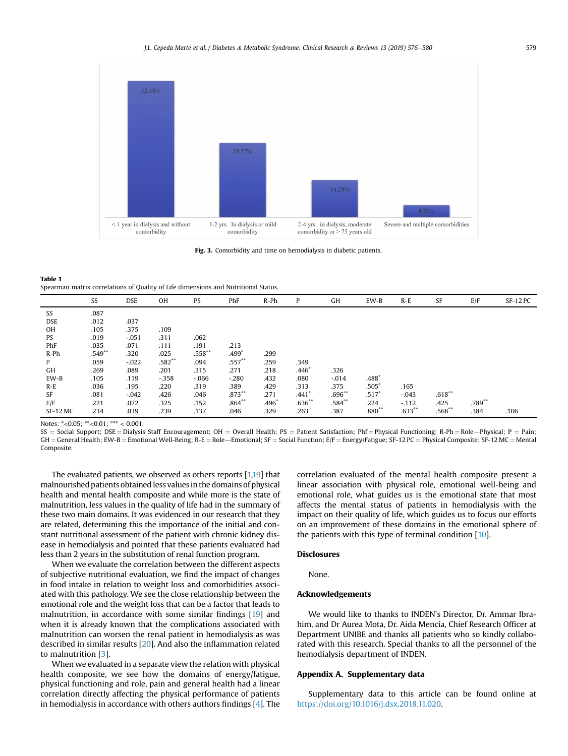<span id="page-3-0"></span>

Fig. 3. Comorbidity and time on hemodialysis in diabetic patients.

Table 1 Spearman matrix correlations of Quality of Life dimensions and Nutritional Status.

|            | SS       | <b>DSE</b> | <b>OH</b> | PS        | PhF       | R-Ph            | P              | GH        | EW-B                | $R-E$     | SF        | E/F      | $SF-12 PC$ |
|------------|----------|------------|-----------|-----------|-----------|-----------------|----------------|-----------|---------------------|-----------|-----------|----------|------------|
| SS         | .087     |            |           |           |           |                 |                |           |                     |           |           |          |            |
| <b>DSE</b> | .012     | .037       |           |           |           |                 |                |           |                     |           |           |          |            |
| OH         | .105     | .375       | .109      |           |           |                 |                |           |                     |           |           |          |            |
| PS         | .019     | $-.051$    | .311      | .062      |           |                 |                |           |                     |           |           |          |            |
| PhF        | .035     | .071       | .111      | .191      | .213      |                 |                |           |                     |           |           |          |            |
| $R-Ph$     | $.549**$ | .320       | .025      | $.558***$ | .499°     | .299            |                |           |                     |           |           |          |            |
| P          | .059     | $-.022$    | $.582**$  | .094      | $.557***$ | .259            | .349           |           |                     |           |           |          |            |
| GH         | .269     | .089       | .201      | .315      | .271      | .218            | .446 $\degree$ | .326      |                     |           |           |          |            |
| EW-B       | .105     | .119       | $-.358$   | $-.066$   | $-.280$   | .432            | .080           | $-0.014$  | $.488*$             |           |           |          |            |
| $R-E$      | .036     | .195       | .220      | .319      | .389      | .429            | .313           | .375      | $.505*$             | .165      |           |          |            |
| SF         | .081     | $-.042$    | .426      | .046      | $.873***$ | .271            | .441           | $.696**$  | $.517$ <sup>*</sup> | $-.043$   | $.618***$ |          |            |
| E/F        | .221     | .072       | .325      | .152      | $.864***$ | .496 $^{\circ}$ | $.636***$      | $.584***$ | .224                | $-.112$   | .425      | $.789**$ |            |
| SF-12 MC   | .234     | .039       | .239      | .137      | .046      | .329            | .263           | .387      | $.880**$            | $.633***$ | $.568***$ | .384     | .106       |

Notes: \*< 0.05; \*\* < 0.01; \*\*\* < 0.001.

 $SS = Social Support; DSE = Dialogis Staff Encouragement; OH = Overall Health; PS = Patient Statistical; Phf = Physical Functioning; R-Ph = Role - Physical; P = Pain;$  $GH =$  General Health; EW-B = Emotional Well-Being; R-E = Role – Emotional; SF = Social Function; E/F = Energy/Fatigue; SF-12 PC = Physical Composite; SF-12 MC = Mental Composite.

The evaluated patients, we observed as others reports [\[1,19](#page-4-0)] that malnourished patients obtained less values in the domains of physical health and mental health composite and while more is the state of malnutrition, less values in the quality of life had in the summary of these two main domains. It was evidenced in our research that they are related, determining this the importance of the initial and constant nutritional assessment of the patient with chronic kidney disease in hemodialysis and pointed that these patients evaluated had less than 2 years in the substitution of renal function program.

When we evaluate the correlation between the different aspects of subjective nutritional evaluation, we find the impact of changes in food intake in relation to weight loss and comorbidities associated with this pathology. We see the close relationship between the emotional role and the weight loss that can be a factor that leads to malnutrition, in accordance with some similar findings [\[19\]](#page-4-0) and when it is already known that the complications associated with malnutrition can worsen the renal patient in hemodialysis as was described in similar results [[20](#page-4-0)]. And also the inflammation related to malnutrition [\[3\]](#page-4-0).

When we evaluated in a separate view the relation with physical health composite, we see how the domains of energy/fatigue, physical functioning and role, pain and general health had a linear correlation directly affecting the physical performance of patients in hemodialysis in accordance with others authors findings [\[4\]](#page-4-0). The correlation evaluated of the mental health composite present a linear association with physical role, emotional well-being and emotional role, what guides us is the emotional state that most affects the mental status of patients in hemodialysis with the impact on their quality of life, which guides us to focus our efforts on an improvement of these domains in the emotional sphere of the patients with this type of terminal condition [\[10](#page-4-0)].

# Disclosures

None.

#### Acknowledgements

We would like to thanks to INDEN's Director, Dr. Ammar Ibrahim, and Dr Aurea Mota, Dr. Aida Mencía, Chief Research Officer at Department UNIBE and thanks all patients who so kindly collaborated with this research. Special thanks to all the personnel of the hemodialysis department of INDEN.

# Appendix A. Supplementary data

Supplementary data to this article can be found online at [https://doi.org/10.1016/j.dsx.2018.11.020.](https://doi.org/10.1016/j.dsx.2018.11.020)